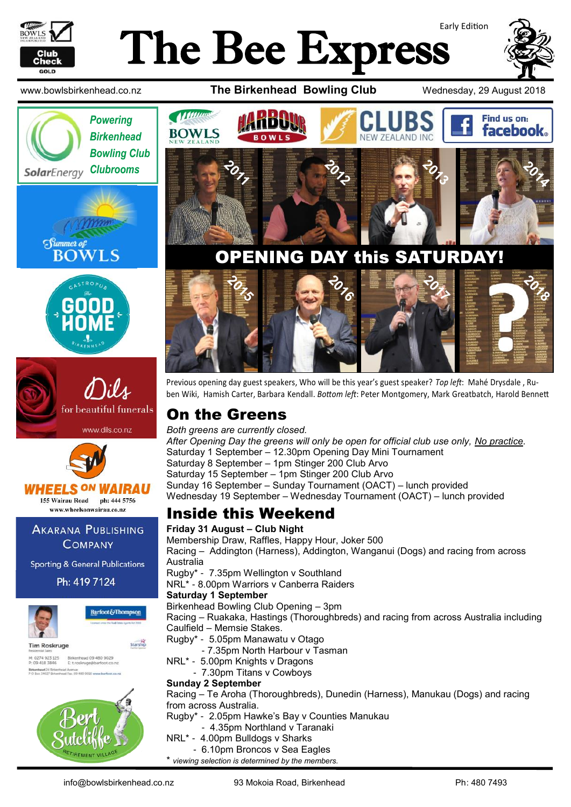

# Early Edition The Bee Express



www.bowlsbirkenhead.co.nz **The Birkenhead Bowling Club** Wednesday, 29 August 2018











www.wheelsonwairau.co.nz **AKARANA PUBLISHING** 

**COMPANY** 

**Sporting & General Publications** 

Ph: 419 7124





**Tim Roskruge** M: 0274 923 125<br>P: 09 418 3846 Birkenhead 09 480 9029<br>E: t.roskruge@barfoot.co.nz Birkenhead 24 Briter<br>P O Box 34027 Birken





## OPENING DAY this SATURDAY!



Previous opening day guest speakers, Who will be this year's guest speaker? *Top left*: Mahé Drysdale , Ruben Wiki, Hamish Carter, Barbara Kendall. *Bottom left*: Peter Montgomery, Mark Greatbatch, Harold Bennett

### On the Greens

*Both greens are currently closed.*

*After Opening Day the greens will only be open for official club use only, No practice.* Saturday 1 September – 12.30pm Opening Day Mini Tournament Saturday 8 September – 1pm Stinger 200 Club Arvo Saturday 15 September – 1pm Stinger 200 Club Arvo Sunday 16 September – Sunday Tournament (OACT) – lunch provided Wednesday 19 September – Wednesday Tournament (OACT) – lunch provided

### Inside this Weekend

**Friday 31 August – Club Night** Membership Draw, Raffles, Happy Hour, Joker 500 Racing – Addington (Harness), Addington, Wanganui (Dogs) and racing from across Australia Rugby\* - 7.35pm Wellington v Southland NRL\* - 8.00pm Warriors v Canberra Raiders **Saturday 1 September** Birkenhead Bowling Club Opening – 3pm Racing – Ruakaka, Hastings (Thoroughbreds) and racing from across Australia including Caulfield – Memsie Stakes. Rugby\* - 5.05pm Manawatu v Otago - 7.35pm North Harbour v Tasman NRL\* - 5.00pm Knights v Dragons - 7.30pm Titans v Cowboys **Sunday 2 September** Racing – Te Aroha (Thoroughbreds), Dunedin (Harness), Manukau (Dogs) and racing from across Australia.

Rugby\* - 2.05pm Hawke's Bay v Counties Manukau

- 4.35pm Northland v Taranaki
- NRL\* 4.00pm Bulldogs v Sharks

- 6.10pm Broncos v Sea Eagles

\* *viewing selection is determined by the members.*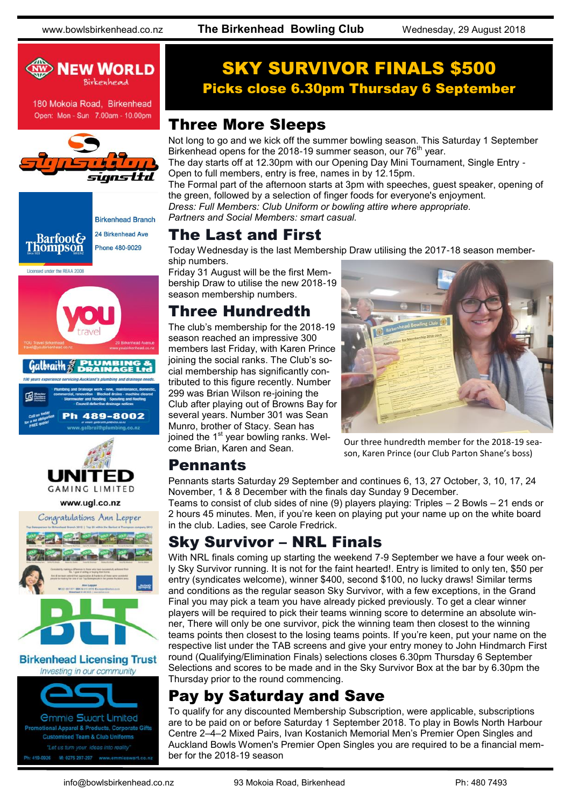

180 Mokoia Road, Birkenhead Open: Mon - Sun 7.00am - 10.00pm













### **Birkenhead Licensing Trust** Investing in our community



### SKY SURVIVOR FINALS \$500 Picks close 6.30pm Thursday 6 September

### Three More Sleeps

Not long to go and we kick off the summer bowling season. This Saturday 1 September Birkenhead opens for the 2018-19 summer season, our  $76<sup>th</sup>$  year.

The day starts off at 12.30pm with our Opening Day Mini Tournament, Single Entry - Open to full members, entry is free, names in by 12.15pm.

The Formal part of the afternoon starts at 3pm with speeches, guest speaker, opening of the green, followed by a selection of finger foods for everyone's enjoyment.

*Dress: Full Members: Club Uniform or bowling attire where appropriate. Partners and Social Members: smart casual.*

### The Last and First

Today Wednesday is the last Membership Draw utilising the 2017-18 season membership numbers.

Friday 31 August will be the first Membership Draw to utilise the new 2018-19 season membership numbers.

### Three Hundredth

The club's membership for the 2018-19 season reached an impressive 300 members last Friday, with Karen Prince joining the social ranks. The Club's social membership has significantly contributed to this figure recently. Number 299 was Brian Wilson re-joining the Club after playing out of Browns Bay for several years. Number 301 was Sean Munro, brother of Stacy. Sean has joined the 1<sup>st</sup> year bowling ranks. Welcome Brian, Karen and Sean.



Our three hundredth member for the 2018-19 season, Karen Prince (our Club Parton Shane's boss)

### Pennants

Pennants starts Saturday 29 September and continues 6, 13, 27 October, 3, 10, 17, 24 November, 1 & 8 December with the finals day Sunday 9 December.

Teams to consist of club sides of nine (9) players playing: Triples – 2 Bowls – 21 ends or 2 hours 45 minutes. Men, if you're keen on playing put your name up on the white board in the club. Ladies, see Carole Fredrick.

## Sky Survivor – NRL Finals

With NRL finals coming up starting the weekend 7-9 September we have a four week only Sky Survivor running. It is not for the faint hearted!. Entry is limited to only ten, \$50 per entry (syndicates welcome), winner \$400, second \$100, no lucky draws! Similar terms and conditions as the regular season Sky Survivor, with a few exceptions, in the Grand Final you may pick a team you have already picked previously. To get a clear winner players will be required to pick their teams winning score to determine an absolute winner, There will only be one survivor, pick the winning team then closest to the winning teams points then closest to the losing teams points. If you're keen, put your name on the respective list under the TAB screens and give your entry money to John Hindmarch First round (Qualifying/Elimination Finals) selections closes 6.30pm Thursday 6 September Selections and scores to be made and in the Sky Survivor Box at the bar by 6.30pm the Thursday prior to the round commencing.

## Pay by Saturday and Save

To qualify for any discounted Membership Subscription, were applicable, subscriptions are to be paid on or before Saturday 1 September 2018. To play in Bowls North Harbour Centre 2–4–2 Mixed Pairs, Ivan Kostanich Memorial Men's Premier Open Singles and Auckland Bowls Women's Premier Open Singles you are required to be a financial member for the 2018-19 season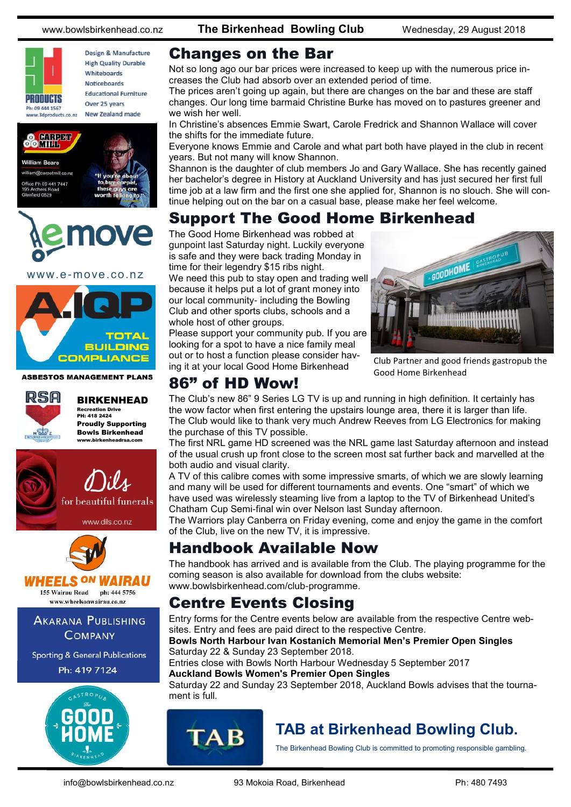PRODUCTS Ph: 09 444 1567

Design & Manufacture **High Quality Durable** Whiteboards Noticeboards **Educational Furniture** Over 25 years New Zealand made www.3dproducts.co.nz



### www.e-move.co.nz



**ASBESTOS MANAGEMENT PLANS** 



BIRKENHEAD Recreation Drive PH: 418 2424

Proudly Supporting Bowls Birkenhead , birkenheadraa.com



www.dils.co.nz



**VHEELS ON WAIRAU** 

155 Wairau Road ph: 444 5756 www.wheelsonwairau.co.nz

**AKARANA PUBLISHING COMPANY** 

**Sporting & General Publications** Ph: 419 7124



www.bowlsbirkenhead.co.nz **The Birkenhead Bowling Club** Wednesday, 29 August 2018

### Changes on the Bar

Not so long ago our bar prices were increased to keep up with the numerous price increases the Club had absorb over an extended period of time.

The prices aren't going up again, but there are changes on the bar and these are staff changes. Our long time barmaid Christine Burke has moved on to pastures greener and we wish her well.

In Christine's absences Emmie Swart, Carole Fredrick and Shannon Wallace will cover the shifts for the immediate future.

Everyone knows Emmie and Carole and what part both have played in the club in recent years. But not many will know Shannon.

Shannon is the daughter of club members Jo and Gary Wallace. She has recently gained her bachelor's degree in History at Auckland University and has just secured her first full time job at a law firm and the first one she applied for, Shannon is no slouch. She will continue helping out on the bar on a casual base, please make her feel welcome.

## Support The Good Home Birkenhead

The Good Home Birkenhead was robbed at gunpoint last Saturday night. Luckily everyone is safe and they were back trading Monday in time for their legendry \$15 ribs night.

We need this pub to stay open and trading well because it helps put a lot of grant money into our local community- including the Bowling Club and other sports clubs, schools and a whole host of other groups.

Please support your community pub. If you are looking for a spot to have a nice family meal out or to host a function please consider having it at your local Good Home Birkenhead



Club Partner and good friends gastropub the Good Home Birkenhead

### 86" of HD Wow!

The Club's new 86" 9 Series LG TV is up and running in high definition. It certainly has the wow factor when first entering the upstairs lounge area, there it is larger than life. The Club would like to thank very much Andrew Reeves from LG Electronics for making the purchase of this TV possible.

The first NRL game HD screened was the NRL game last Saturday afternoon and instead of the usual crush up front close to the screen most sat further back and marvelled at the both audio and visual clarity.

A TV of this calibre comes with some impressive smarts, of which we are slowly learning and many will be used for different tournaments and events. One "smart" of which we have used was wirelessly steaming live from a laptop to the TV of Birkenhead United's Chatham Cup Semi-final win over Nelson last Sunday afternoon.

The Warriors play Canberra on Friday evening, come and enjoy the game in the comfort of the Club, live on the new TV, it is impressive.

### Handbook Available Now

The handbook has arrived and is available from the Club. The playing programme for the coming season is also available for download from the clubs website: www.bowlsbirkenhead.com/club-programme.

### Centre Events Closing

Entry forms for the Centre events below are available from the respective Centre websites. Entry and fees are paid direct to the respective Centre.

### **Bowls North Harbour Ivan Kostanich Memorial Men's Premier Open Singles** Saturday 22 & Sunday 23 September 2018.

Entries close with Bowls North Harbour Wednesday 5 September 2017 **Auckland Bowls Women's Premier Open Singles**

Saturday 22 and Sunday 23 September 2018, Auckland Bowls advises that the tournament is full.



## **TAB at Birkenhead Bowling Club.**

The Birkenhead Bowling Club is committed to promoting responsible gambling.